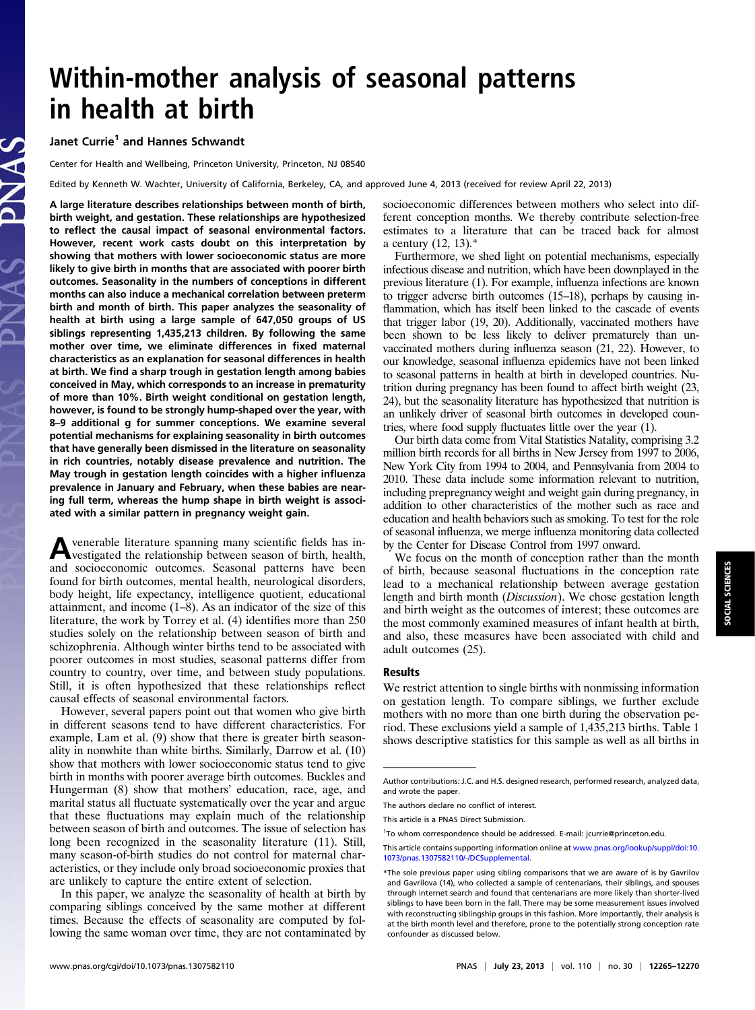# Within-mother analysis of seasonal patterns in health at birth

### Janet Currie<sup>1</sup> and Hannes Schwandt

Center for Health and Wellbeing, Princeton University, Princeton, NJ 08540

Edited by Kenneth W. Wachter, University of California, Berkeley, CA, and approved June 4, 2013 (received for review April 22, 2013)

A large literature describes relationships between month of birth, birth weight, and gestation. These relationships are hypothesized to reflect the causal impact of seasonal environmental factors. However, recent work casts doubt on this interpretation by showing that mothers with lower socioeconomic status are more likely to give birth in months that are associated with poorer birth outcomes. Seasonality in the numbers of conceptions in different months can also induce a mechanical correlation between preterm birth and month of birth. This paper analyzes the seasonality of health at birth using a large sample of 647,050 groups of US siblings representing 1,435,213 children. By following the same mother over time, we eliminate differences in fixed maternal characteristics as an explanation for seasonal differences in health at birth. We find a sharp trough in gestation length among babies conceived in May, which corresponds to an increase in prematurity of more than 10%. Birth weight conditional on gestation length, however, is found to be strongly hump-shaped over the year, with 8–9 additional g for summer conceptions. We examine several potential mechanisms for explaining seasonality in birth outcomes that have generally been dismissed in the literature on seasonality in rich countries, notably disease prevalence and nutrition. The May trough in gestation length coincides with a higher influenza prevalence in January and February, when these babies are nearing full term, whereas the hump shape in birth weight is associated with a similar pattern in pregnancy weight gain.

Avenerable literature spanning many scientifi<sup>c</sup> fields has in-vestigated the relationship between season of birth, health, and socioeconomic outcomes. Seasonal patterns have been found for birth outcomes, mental health, neurological disorders, body height, life expectancy, intelligence quotient, educational attainment, and income (1–8). As an indicator of the size of this literature, the work by Torrey et al. (4) identifies more than 250 studies solely on the relationship between season of birth and schizophrenia. Although winter births tend to be associated with poorer outcomes in most studies, seasonal patterns differ from country to country, over time, and between study populations. Still, it is often hypothesized that these relationships reflect causal effects of seasonal environmental factors.

However, several papers point out that women who give birth in different seasons tend to have different characteristics. For example, Lam et al. (9) show that there is greater birth seasonality in nonwhite than white births. Similarly, Darrow et al. (10) show that mothers with lower socioeconomic status tend to give birth in months with poorer average birth outcomes. Buckles and Hungerman (8) show that mothers' education, race, age, and marital status all fluctuate systematically over the year and argue that these fluctuations may explain much of the relationship between season of birth and outcomes. The issue of selection has long been recognized in the seasonality literature (11). Still, many season-of-birth studies do not control for maternal characteristics, or they include only broad socioeconomic proxies that are unlikely to capture the entire extent of selection.

In this paper, we analyze the seasonality of health at birth by comparing siblings conceived by the same mother at different times. Because the effects of seasonality are computed by following the same woman over time, they are not contaminated by socioeconomic differences between mothers who select into different conception months. We thereby contribute selection-free estimates to a literature that can be traced back for almost a century (12, 13).\*

Furthermore, we shed light on potential mechanisms, especially infectious disease and nutrition, which have been downplayed in the previous literature (1). For example, influenza infections are known to trigger adverse birth outcomes (15–18), perhaps by causing inflammation, which has itself been linked to the cascade of events that trigger labor (19, 20). Additionally, vaccinated mothers have been shown to be less likely to deliver prematurely than unvaccinated mothers during influenza season (21, 22). However, to our knowledge, seasonal influenza epidemics have not been linked to seasonal patterns in health at birth in developed countries. Nutrition during pregnancy has been found to affect birth weight (23, 24), but the seasonality literature has hypothesized that nutrition is an unlikely driver of seasonal birth outcomes in developed countries, where food supply fluctuates little over the year (1).

Our birth data come from Vital Statistics Natality, comprising 3.2 million birth records for all births in New Jersey from 1997 to 2006, New York City from 1994 to 2004, and Pennsylvania from 2004 to 2010. These data include some information relevant to nutrition, including prepregnancy weight and weight gain during pregnancy, in addition to other characteristics of the mother such as race and education and health behaviors such as smoking. To test for the role of seasonal influenza, we merge influenza monitoring data collected by the Center for Disease Control from 1997 onward.

We focus on the month of conception rather than the month of birth, because seasonal fluctuations in the conception rate lead to a mechanical relationship between average gestation length and birth month (Discussion). We chose gestation length and birth weight as the outcomes of interest; these outcomes are the most commonly examined measures of infant health at birth, and also, these measures have been associated with child and adult outcomes (25).

### Results

We restrict attention to single births with nonmissing information on gestation length. To compare siblings, we further exclude mothers with no more than one birth during the observation period. These exclusions yield a sample of 1,435,213 births. Table 1 shows descriptive statistics for this sample as well as all births in

Author contributions: J.C. and H.S. designed research, performed research, analyzed data, and wrote the paper.

The authors declare no conflict of interest.

This article is a PNAS Direct Submission.

<sup>&</sup>lt;sup>1</sup>To whom correspondence should be addressed. E-mail: [jcurrie@princeton.edu.](mailto:jcurrie@princeton.edu)

This article contains supporting information online at [www.pnas.org/lookup/suppl/doi:10.](http://www.pnas.org/lookup/suppl/doi:10.1073/pnas.1307582110/-/DCSupplemental) [1073/pnas.1307582110/-/DCSupplemental](http://www.pnas.org/lookup/suppl/doi:10.1073/pnas.1307582110/-/DCSupplemental).

<sup>\*</sup>The sole previous paper using sibling comparisons that we are aware of is by Gavrilov and Gavrilova (14), who collected a sample of centenarians, their siblings, and spouses through internet search and found that centenarians are more likely than shorter-lived siblings to have been born in the fall. There may be some measurement issues involved with reconstructing siblingship groups in this fashion. More importantly, their analysis is at the birth month level and therefore, prone to the potentially strong conception rate confounder as discussed below.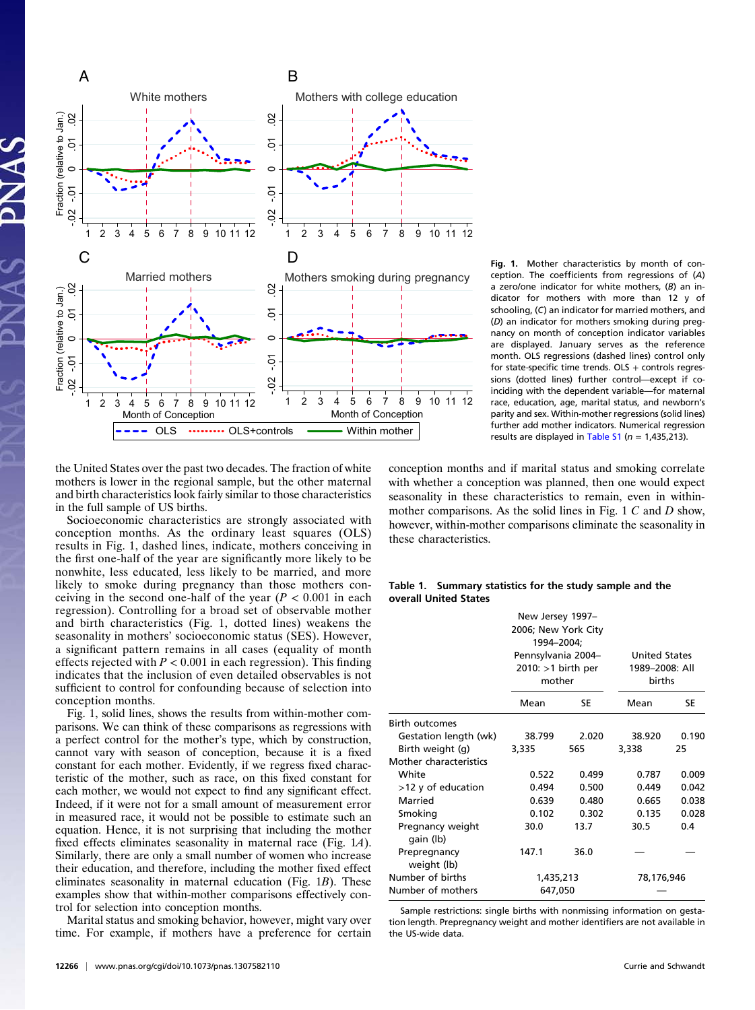

Fig. 1. Mother characteristics by month of conception. The coefficients from regressions of (A) a zero/one indicator for white mothers, (B) an indicator for mothers with more than 12 y of schooling, (C) an indicator for married mothers, and (D) an indicator for mothers smoking during pregnancy on month of conception indicator variables are displayed. January serves as the reference month. OLS regressions (dashed lines) control only for state-specific time trends.  $OLS +$  controls regressions (dotted lines) further control—except if coinciding with the dependent variable—for maternal race, education, age, marital status, and newborn's parity and sex. Within-mother regressions (solid lines) further add mother indicators. Numerical regression results are displayed in [Table S1](http://www.pnas.org/lookup/suppl/doi:10.1073/pnas.1307582110/-/DCSupplemental/pnas.201307582SI.pdf?targetid=nameddest=ST1) ( $n = 1,435,213$ ).

the United States over the past two decades. The fraction of white mothers is lower in the regional sample, but the other maternal and birth characteristics look fairly similar to those characteristics in the full sample of US births.

Socioeconomic characteristics are strongly associated with conception months. As the ordinary least squares (OLS) results in Fig. 1, dashed lines, indicate, mothers conceiving in the first one-half of the year are significantly more likely to be nonwhite, less educated, less likely to be married, and more likely to smoke during pregnancy than those mothers conceiving in the second one-half of the year  $(P < 0.001$  in each regression). Controlling for a broad set of observable mother and birth characteristics (Fig. 1, dotted lines) weakens the seasonality in mothers' socioeconomic status (SES). However, a significant pattern remains in all cases (equality of month effects rejected with  $P < 0.001$  in each regression). This finding indicates that the inclusion of even detailed observables is not sufficient to control for confounding because of selection into conception months.

Fig. 1, solid lines, shows the results from within-mother comparisons. We can think of these comparisons as regressions with a perfect control for the mother's type, which by construction, cannot vary with season of conception, because it is a fixed constant for each mother. Evidently, if we regress fixed characteristic of the mother, such as race, on this fixed constant for each mother, we would not expect to find any significant effect. Indeed, if it were not for a small amount of measurement error in measured race, it would not be possible to estimate such an equation. Hence, it is not surprising that including the mother fixed effects eliminates seasonality in maternal race (Fig. 1A). Similarly, there are only a small number of women who increase their education, and therefore, including the mother fixed effect eliminates seasonality in maternal education (Fig. 1B). These examples show that within-mother comparisons effectively control for selection into conception months.

Marital status and smoking behavior, however, might vary over time. For example, if mothers have a preference for certain conception months and if marital status and smoking correlate with whether a conception was planned, then one would expect seasonality in these characteristics to remain, even in withinmother comparisons. As the solid lines in Fig. 1  $C$  and  $D$  show, however, within-mother comparisons eliminate the seasonality in these characteristics.

### Table 1. Summary statistics for the study sample and the overall United States

|                               | New Jersey 1997-<br>2006; New York City<br>1994-2004;<br>Pennsylvania 2004-<br>$2010:$ >1 birth per<br>mother |       | <b>United States</b><br>1989-2008: All<br>births |       |  |  |
|-------------------------------|---------------------------------------------------------------------------------------------------------------|-------|--------------------------------------------------|-------|--|--|
|                               | Mean                                                                                                          | SE    | Mean                                             | SE    |  |  |
| <b>Birth outcomes</b>         |                                                                                                               |       |                                                  |       |  |  |
| Gestation length (wk)         | 38.799                                                                                                        | 2.020 | 38.920                                           | 0.190 |  |  |
| Birth weight (g)              | 3,335                                                                                                         | 565   | 3,338                                            | 25    |  |  |
| Mother characteristics        |                                                                                                               |       |                                                  |       |  |  |
| White                         | 0.522                                                                                                         | 0.499 | 0.787                                            | 0.009 |  |  |
| >12 y of education            | 0.494                                                                                                         | 0.500 | 0.449                                            | 0.042 |  |  |
| Married                       | 0.639                                                                                                         | 0.480 | 0.665                                            | 0.038 |  |  |
| Smoking                       | 0.102                                                                                                         | 0.302 | 0.135                                            | 0.028 |  |  |
| Pregnancy weight<br>gain (lb) | 30.0                                                                                                          | 13.7  | 30.5                                             | 0.4   |  |  |
| Prepregnancy<br>weight (lb)   | 147.1                                                                                                         | 36.0  |                                                  |       |  |  |
| Number of births              | 1,435,213                                                                                                     |       | 78,176,946                                       |       |  |  |
| Number of mothers             | 647,050                                                                                                       |       |                                                  |       |  |  |

Sample restrictions: single births with nonmissing information on gestation length. Prepregnancy weight and mother identifiers are not available in the US-wide data.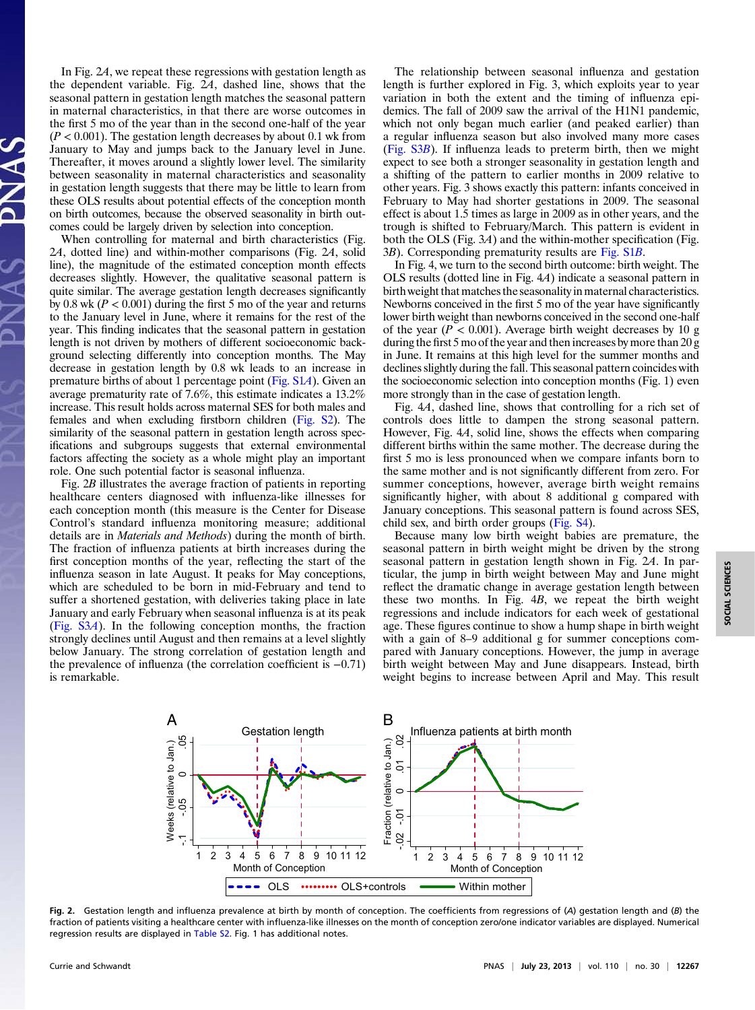In Fig. 2A, we repeat these regressions with gestation length as the dependent variable. Fig. 2A, dashed line, shows that the seasonal pattern in gestation length matches the seasonal pattern in maternal characteristics, in that there are worse outcomes in the first 5 mo of the year than in the second one-half of the year  $(P < 0.001)$ . The gestation length decreases by about 0.1 wk from January to May and jumps back to the January level in June. Thereafter, it moves around a slightly lower level. The similarity between seasonality in maternal characteristics and seasonality in gestation length suggests that there may be little to learn from these OLS results about potential effects of the conception month on birth outcomes, because the observed seasonality in birth outcomes could be largely driven by selection into conception.

When controlling for maternal and birth characteristics (Fig. 2A, dotted line) and within-mother comparisons (Fig. 2A, solid line), the magnitude of the estimated conception month effects decreases slightly. However, the qualitative seasonal pattern is quite similar. The average gestation length decreases significantly by 0.8 wk ( $P < 0.001$ ) during the first 5 mo of the year and returns to the January level in June, where it remains for the rest of the year. This finding indicates that the seasonal pattern in gestation length is not driven by mothers of different socioeconomic background selecting differently into conception months. The May decrease in gestation length by 0.8 wk leads to an increase in premature births of about 1 percentage point ([Fig. S1](http://www.pnas.org/lookup/suppl/doi:10.1073/pnas.1307582110/-/DCSupplemental/pnas.201307582SI.pdf?targetid=nameddest=SF1)A). Given an average prematurity rate of 7.6%, this estimate indicates a 13.2% increase. This result holds across maternal SES for both males and females and when excluding firstborn children [\(Fig. S2](http://www.pnas.org/lookup/suppl/doi:10.1073/pnas.1307582110/-/DCSupplemental/pnas.201307582SI.pdf?targetid=nameddest=SF2)). The similarity of the seasonal pattern in gestation length across specifications and subgroups suggests that external environmental factors affecting the society as a whole might play an important role. One such potential factor is seasonal influenza.

Fig. 2B illustrates the average fraction of patients in reporting healthcare centers diagnosed with influenza-like illnesses for each conception month (this measure is the Center for Disease Control's standard influenza monitoring measure; additional details are in Materials and Methods) during the month of birth. The fraction of influenza patients at birth increases during the first conception months of the year, reflecting the start of the influenza season in late August. It peaks for May conceptions, which are scheduled to be born in mid-February and tend to suffer a shortened gestation, with deliveries taking place in late January and early February when seasonal influenza is at its peak ([Fig. S3](http://www.pnas.org/lookup/suppl/doi:10.1073/pnas.1307582110/-/DCSupplemental/pnas.201307582SI.pdf?targetid=nameddest=SF3)A). In the following conception months, the fraction strongly declines until August and then remains at a level slightly below January. The strong correlation of gestation length and the prevalence of influenza (the correlation coefficient is −0.71) is remarkable.

The relationship between seasonal influenza and gestation length is further explored in Fig. 3, which exploits year to year variation in both the extent and the timing of influenza epidemics. The fall of 2009 saw the arrival of the H1N1 pandemic, which not only began much earlier (and peaked earlier) than a regular influenza season but also involved many more cases (Fig.  $S3B$ ). If influenza leads to preterm birth, then we might expect to see both a stronger seasonality in gestation length and a shifting of the pattern to earlier months in 2009 relative to other years. Fig. 3 shows exactly this pattern: infants conceived in February to May had shorter gestations in 2009. The seasonal effect is about 1.5 times as large in 2009 as in other years, and the trough is shifted to February/March. This pattern is evident in both the OLS (Fig. 3A) and the within-mother specification (Fig. 3B). Corresponding prematurity results are [Fig. S1](http://www.pnas.org/lookup/suppl/doi:10.1073/pnas.1307582110/-/DCSupplemental/pnas.201307582SI.pdf?targetid=nameddest=SF1)B.

In Fig. 4, we turn to the second birth outcome: birth weight. The OLS results (dotted line in Fig. 4A) indicate a seasonal pattern in birth weight that matches the seasonality in maternal characteristics. Newborns conceived in the first 5 mo of the year have significantly lower birth weight than newborns conceived in the second one-half of the year ( $P < 0.001$ ). Average birth weight decreases by 10 g during the first 5 mo of the year and then increases by more than 20 g in June. It remains at this high level for the summer months and declines slightly during the fall. This seasonal pattern coincides with the socioeconomic selection into conception months (Fig. 1) even more strongly than in the case of gestation length.

Fig. 4A, dashed line, shows that controlling for a rich set of controls does little to dampen the strong seasonal pattern. However, Fig. 4A, solid line, shows the effects when comparing different births within the same mother. The decrease during the first 5 mo is less pronounced when we compare infants born to the same mother and is not significantly different from zero. For summer conceptions, however, average birth weight remains significantly higher, with about 8 additional g compared with January conceptions. This seasonal pattern is found across SES, child sex, and birth order groups [\(Fig. S4\)](http://www.pnas.org/lookup/suppl/doi:10.1073/pnas.1307582110/-/DCSupplemental/pnas.201307582SI.pdf?targetid=nameddest=SF4).

Because many low birth weight babies are premature, the seasonal pattern in birth weight might be driven by the strong seasonal pattern in gestation length shown in Fig. 2A. In particular, the jump in birth weight between May and June might reflect the dramatic change in average gestation length between these two months. In Fig. 4B, we repeat the birth weight regressions and include indicators for each week of gestational age. These figures continue to show a hump shape in birth weight with a gain of 8–9 additional g for summer conceptions compared with January conceptions. However, the jump in average birth weight between May and June disappears. Instead, birth weight begins to increase between April and May. This result



Fig. 2. Gestation length and influenza prevalence at birth by month of conception. The coefficients from regressions of (A) gestation length and (B) the fraction of patients visiting a healthcare center with influenza-like illnesses on the month of conception zero/one indicator variables are displayed. Numerical regression results are displayed in [Table S2.](http://www.pnas.org/lookup/suppl/doi:10.1073/pnas.1307582110/-/DCSupplemental/pnas.201307582SI.pdf?targetid=nameddest=ST2) Fig. 1 has additional notes.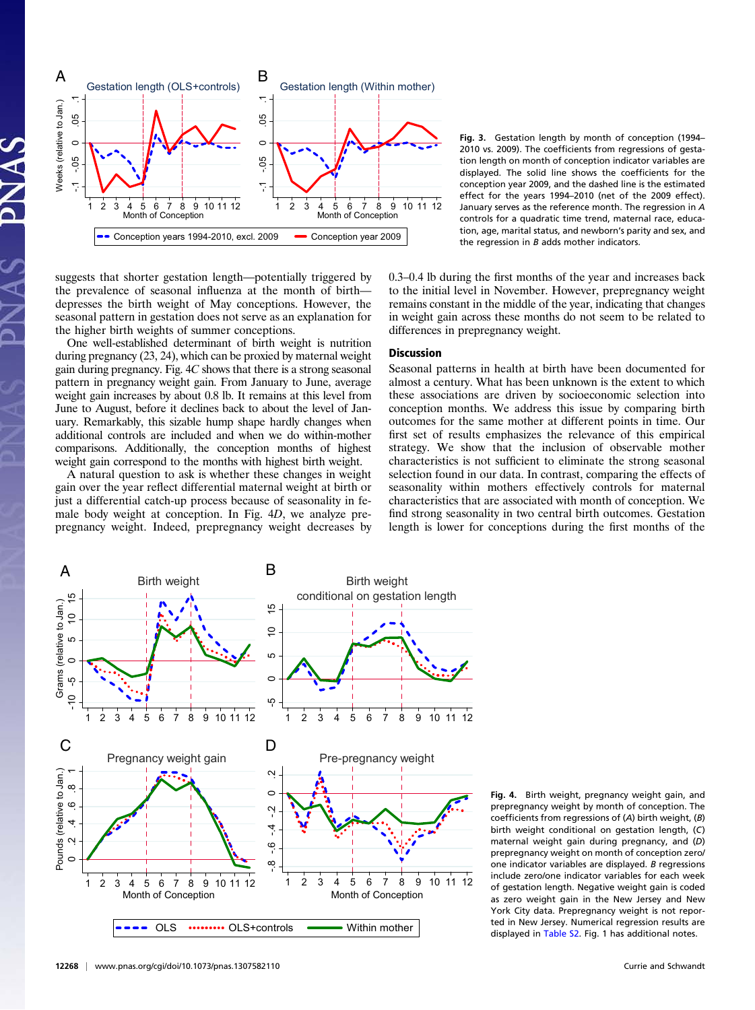

Fig. 3. Gestation length by month of conception (1994– 2010 vs. 2009). The coefficients from regressions of gestation length on month of conception indicator variables are displayed. The solid line shows the coefficients for the conception year 2009, and the dashed line is the estimated effect for the years 1994–2010 (net of the 2009 effect). January serves as the reference month. The regression in A controls for a quadratic time trend, maternal race, education, age, marital status, and newborn's parity and sex, and the regression in B adds mother indicators.

suggests that shorter gestation length—potentially triggered by the prevalence of seasonal influenza at the month of birth depresses the birth weight of May conceptions. However, the seasonal pattern in gestation does not serve as an explanation for the higher birth weights of summer conceptions.

One well-established determinant of birth weight is nutrition during pregnancy (23, 24), which can be proxied by maternal weight gain during pregnancy. Fig. 4C shows that there is a strong seasonal pattern in pregnancy weight gain. From January to June, average weight gain increases by about 0.8 lb. It remains at this level from June to August, before it declines back to about the level of January. Remarkably, this sizable hump shape hardly changes when additional controls are included and when we do within-mother comparisons. Additionally, the conception months of highest weight gain correspond to the months with highest birth weight.

A natural question to ask is whether these changes in weight gain over the year reflect differential maternal weight at birth or just a differential catch-up process because of seasonality in female body weight at conception. In Fig. 4D, we analyze prepregnancy weight. Indeed, prepregnancy weight decreases by 0.3–0.4 lb during the first months of the year and increases back to the initial level in November. However, prepregnancy weight remains constant in the middle of the year, indicating that changes in weight gain across these months do not seem to be related to differences in prepregnancy weight.

### **Discussion**

Seasonal patterns in health at birth have been documented for almost a century. What has been unknown is the extent to which these associations are driven by socioeconomic selection into conception months. We address this issue by comparing birth outcomes for the same mother at different points in time. Our first set of results emphasizes the relevance of this empirical strategy. We show that the inclusion of observable mother characteristics is not sufficient to eliminate the strong seasonal selection found in our data. In contrast, comparing the effects of seasonality within mothers effectively controls for maternal characteristics that are associated with month of conception. We find strong seasonality in two central birth outcomes. Gestation length is lower for conceptions during the first months of the



Fig. 4. Birth weight, pregnancy weight gain, and prepregnancy weight by month of conception. The coefficients from regressions of (A) birth weight, (B) birth weight conditional on gestation length, (C) maternal weight gain during pregnancy, and (D) prepregnancy weight on month of conception zero/ one indicator variables are displayed. B regressions include zero/one indicator variables for each week of gestation length. Negative weight gain is coded as zero weight gain in the New Jersey and New York City data. Prepregnancy weight is not reported in New Jersey. Numerical regression results are displayed in [Table S2.](http://www.pnas.org/lookup/suppl/doi:10.1073/pnas.1307582110/-/DCSupplemental/pnas.201307582SI.pdf?targetid=nameddest=ST2) Fig. 1 has additional notes.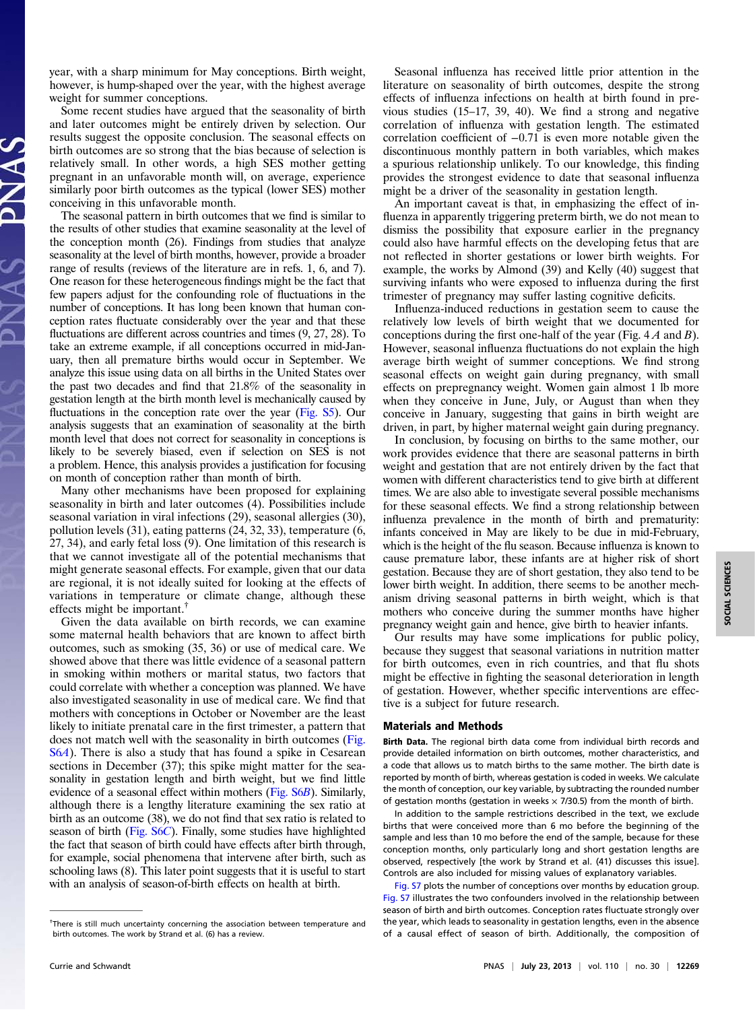year, with a sharp minimum for May conceptions. Birth weight, however, is hump-shaped over the year, with the highest average weight for summer conceptions.

Some recent studies have argued that the seasonality of birth and later outcomes might be entirely driven by selection. Our results suggest the opposite conclusion. The seasonal effects on birth outcomes are so strong that the bias because of selection is relatively small. In other words, a high SES mother getting pregnant in an unfavorable month will, on average, experience similarly poor birth outcomes as the typical (lower SES) mother conceiving in this unfavorable month.

The seasonal pattern in birth outcomes that we find is similar to the results of other studies that examine seasonality at the level of the conception month (26). Findings from studies that analyze seasonality at the level of birth months, however, provide a broader range of results (reviews of the literature are in refs. 1, 6, and 7). One reason for these heterogeneous findings might be the fact that few papers adjust for the confounding role of fluctuations in the number of conceptions. It has long been known that human conception rates fluctuate considerably over the year and that these fluctuations are different across countries and times (9, 27, 28). To take an extreme example, if all conceptions occurred in mid-January, then all premature births would occur in September. We analyze this issue using data on all births in the United States over the past two decades and find that 21.8% of the seasonality in gestation length at the birth month level is mechanically caused by fluctuations in the conception rate over the year [\(Fig. S5](http://www.pnas.org/lookup/suppl/doi:10.1073/pnas.1307582110/-/DCSupplemental/pnas.201307582SI.pdf?targetid=nameddest=SF5)). Our analysis suggests that an examination of seasonality at the birth month level that does not correct for seasonality in conceptions is likely to be severely biased, even if selection on SES is not a problem. Hence, this analysis provides a justification for focusing on month of conception rather than month of birth.

Many other mechanisms have been proposed for explaining seasonality in birth and later outcomes (4). Possibilities include seasonal variation in viral infections (29), seasonal allergies (30), pollution levels (31), eating patterns (24, 32, 33), temperature (6, 27, 34), and early fetal loss (9). One limitation of this research is that we cannot investigate all of the potential mechanisms that might generate seasonal effects. For example, given that our data are regional, it is not ideally suited for looking at the effects of variations in temperature or climate change, although these effects might be important.†

Given the data available on birth records, we can examine some maternal health behaviors that are known to affect birth outcomes, such as smoking (35, 36) or use of medical care. We showed above that there was little evidence of a seasonal pattern in smoking within mothers or marital status, two factors that could correlate with whether a conception was planned. We have also investigated seasonality in use of medical care. We find that mothers with conceptions in October or November are the least likely to initiate prenatal care in the first trimester, a pattern that does not match well with the seasonality in birth outcomes ([Fig.](http://www.pnas.org/lookup/suppl/doi:10.1073/pnas.1307582110/-/DCSupplemental/pnas.201307582SI.pdf?targetid=nameddest=SF6) [S6](http://www.pnas.org/lookup/suppl/doi:10.1073/pnas.1307582110/-/DCSupplemental/pnas.201307582SI.pdf?targetid=nameddest=SF6)A). There is also a study that has found a spike in Cesarean sections in December (37); this spike might matter for the seasonality in gestation length and birth weight, but we find little evidence of a seasonal effect within mothers [\(Fig. S6](http://www.pnas.org/lookup/suppl/doi:10.1073/pnas.1307582110/-/DCSupplemental/pnas.201307582SI.pdf?targetid=nameddest=SF6)B). Similarly, although there is a lengthy literature examining the sex ratio at birth as an outcome (38), we do not find that sex ratio is related to season of birth [\(Fig. S6](http://www.pnas.org/lookup/suppl/doi:10.1073/pnas.1307582110/-/DCSupplemental/pnas.201307582SI.pdf?targetid=nameddest=SF6)C). Finally, some studies have highlighted the fact that season of birth could have effects after birth through, for example, social phenomena that intervene after birth, such as schooling laws (8). This later point suggests that it is useful to start with an analysis of season-of-birth effects on health at birth.

Seasonal influenza has received little prior attention in the literature on seasonality of birth outcomes, despite the strong effects of influenza infections on health at birth found in previous studies (15–17, 39, 40). We find a strong and negative correlation of influenza with gestation length. The estimated correlation coefficient of −0.71 is even more notable given the discontinuous monthly pattern in both variables, which makes a spurious relationship unlikely. To our knowledge, this finding provides the strongest evidence to date that seasonal influenza might be a driver of the seasonality in gestation length.

An important caveat is that, in emphasizing the effect of influenza in apparently triggering preterm birth, we do not mean to dismiss the possibility that exposure earlier in the pregnancy could also have harmful effects on the developing fetus that are not reflected in shorter gestations or lower birth weights. For example, the works by Almond (39) and Kelly (40) suggest that surviving infants who were exposed to influenza during the first trimester of pregnancy may suffer lasting cognitive deficits.

Influenza-induced reductions in gestation seem to cause the relatively low levels of birth weight that we documented for conceptions during the first one-half of the year (Fig. 4 A and B). However, seasonal influenza fluctuations do not explain the high average birth weight of summer conceptions. We find strong seasonal effects on weight gain during pregnancy, with small effects on prepregnancy weight. Women gain almost 1 lb more when they conceive in June, July, or August than when they conceive in January, suggesting that gains in birth weight are driven, in part, by higher maternal weight gain during pregnancy.

In conclusion, by focusing on births to the same mother, our work provides evidence that there are seasonal patterns in birth weight and gestation that are not entirely driven by the fact that women with different characteristics tend to give birth at different times. We are also able to investigate several possible mechanisms for these seasonal effects. We find a strong relationship between influenza prevalence in the month of birth and prematurity: infants conceived in May are likely to be due in mid-February, which is the height of the flu season. Because influenza is known to cause premature labor, these infants are at higher risk of short gestation. Because they are of short gestation, they also tend to be lower birth weight. In addition, there seems to be another mechanism driving seasonal patterns in birth weight, which is that mothers who conceive during the summer months have higher pregnancy weight gain and hence, give birth to heavier infants.

Our results may have some implications for public policy, because they suggest that seasonal variations in nutrition matter for birth outcomes, even in rich countries, and that flu shots might be effective in fighting the seasonal deterioration in length of gestation. However, whether specific interventions are effective is a subject for future research.

### Materials and Methods

Birth Data. The regional birth data come from individual birth records and provide detailed information on birth outcomes, mother characteristics, and a code that allows us to match births to the same mother. The birth date is reported by month of birth, whereas gestation is coded in weeks. We calculate the month of conception, our key variable, by subtracting the rounded number of gestation months (gestation in weeks  $\times$  7/30.5) from the month of birth.

In addition to the sample restrictions described in the text, we exclude births that were conceived more than 6 mo before the beginning of the sample and less than 10 mo before the end of the sample, because for these conception months, only particularly long and short gestation lengths are observed, respectively [the work by Strand et al. (41) discusses this issue]. Controls are also included for missing values of explanatory variables.

[Fig. S7](http://www.pnas.org/lookup/suppl/doi:10.1073/pnas.1307582110/-/DCSupplemental/pnas.201307582SI.pdf?targetid=nameddest=SF7) plots the number of conceptions over months by education group. [Fig. S7](http://www.pnas.org/lookup/suppl/doi:10.1073/pnas.1307582110/-/DCSupplemental/pnas.201307582SI.pdf?targetid=nameddest=SF7) illustrates the two confounders involved in the relationship between season of birth and birth outcomes. Conception rates fluctuate strongly over the year, which leads to seasonality in gestation lengths, even in the absence of a causal effect of season of birth. Additionally, the composition of

<sup>&</sup>lt;sup>†</sup>There is still much uncertainty concerning the association between temperature and birth outcomes. The work by Strand et al. (6) has a review.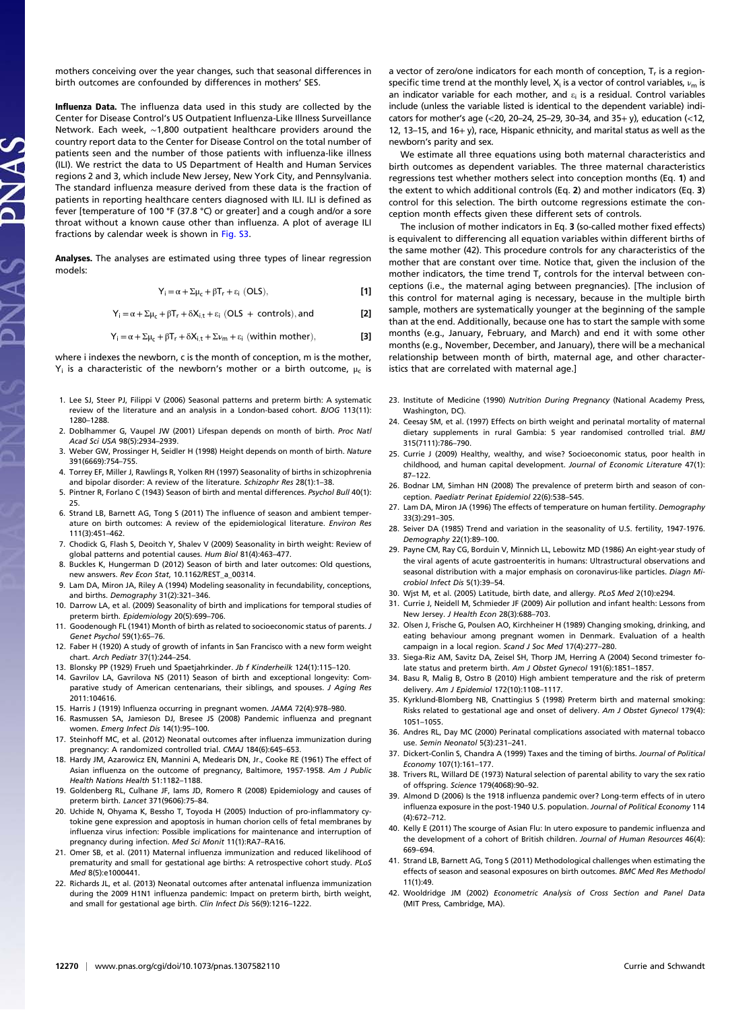mothers conceiving over the year changes, such that seasonal differences in birth outcomes are confounded by differences in mothers' SES.

Influenza Data. The influenza data used in this study are collected by the Center for Disease Control's US Outpatient Influenza-Like Illness Surveillance Network. Each week, ∼1,800 outpatient healthcare providers around the country report data to the Center for Disease Control on the total number of patients seen and the number of those patients with influenza-like illness (ILI). We restrict the data to US Department of Health and Human Services regions 2 and 3, which include New Jersey, New York City, and Pennsylvania. The standard influenza measure derived from these data is the fraction of patients in reporting healthcare centers diagnosed with ILI. ILI is defined as fever [temperature of 100 °F (37.8 °C) or greater] and a cough and/or a sore throat without a known cause other than influenza. A plot of average ILI fractions by calendar week is shown in [Fig. S3.](http://www.pnas.org/lookup/suppl/doi:10.1073/pnas.1307582110/-/DCSupplemental/pnas.201307582SI.pdf?targetid=nameddest=SF3)

Analyses. The analyses are estimated using three types of linear regression models:

$$
Y_i = \alpha + \Sigma \mu_c + \beta T_r + \epsilon_i \text{ (OLS)}, \tag{1}
$$

 $Y_i = \alpha + \Sigma \mu_c + \beta T_r + \delta X_{i,t} + \varepsilon_i$  (OLS + controls), and [2]

$$
Y_i = \alpha + \Sigma \mu_c + \beta T_r + \delta X_{i,t} + \Sigma \nu_m + \epsilon_i \text{ (within mother)}, \tag{3}
$$

where i indexes the newborn, c is the month of conception, m is the mother, Y<sub>i</sub> is a characteristic of the newborn's mother or a birth outcome,  $\mu_c$  is

- 1. Lee SJ, Steer PJ, Filippi V (2006) Seasonal patterns and preterm birth: A systematic review of the literature and an analysis in a London-based cohort. BJOG 113(11): 1280–1288.
- 2. Doblhammer G, Vaupel JW (2001) Lifespan depends on month of birth. Proc Natl Acad Sci USA 98(5):2934–2939.
- 3. Weber GW, Prossinger H, Seidler H (1998) Height depends on month of birth. Nature 391(6669):754–755.
- 4. Torrey EF, Miller J, Rawlings R, Yolken RH (1997) Seasonality of births in schizophrenia and bipolar disorder: A review of the literature. Schizophr Res 28(1):1–38.
- 5. Pintner R, Forlano C (1943) Season of birth and mental differences. Psychol Bull 40(1): 25.
- 6. Strand LB, Barnett AG, Tong S (2011) The influence of season and ambient temperature on birth outcomes: A review of the epidemiological literature. Environ Res 111(3):451–462.
- 7. Chodick G, Flash S, Deoitch Y, Shalev V (2009) Seasonality in birth weight: Review of global patterns and potential causes. Hum Biol 81(4):463–477.
- 8. Buckles K, Hungerman D (2012) Season of birth and later outcomes: Old questions, new answers. Rev Econ Stat, 10.1162/REST\_a\_00314.
- 9. Lam DA, Miron JA, Riley A (1994) Modeling seasonality in fecundability, conceptions, and births. Demography 31(2):321–346.
- 10. Darrow LA, et al. (2009) Seasonality of birth and implications for temporal studies of preterm birth. Epidemiology 20(5):699–706.
- 11. Goodenough FL (1941) Month of birth as related to socioeconomic status of parents. J Genet Psychol 59(1):65–76.
- 12. Faber H (1920) A study of growth of infants in San Francisco with a new form weight chart. Arch Pediatr 37(1):244–254.
- 13. Blonsky PP (1929) Frueh und Spaetjahrkinder. Jb f Kinderheilk 124(1):115–120.
- 14. Gavrilov LA, Gavrilova NS (2011) Season of birth and exceptional longevity: Comparative study of American centenarians, their siblings, and spouses. J Aging Res 2011:104616.
- 15. Harris J (1919) Influenza occurring in pregnant women. JAMA 72(4):978–980.
- 16. Rasmussen SA, Jamieson DJ, Bresee JS (2008) Pandemic influenza and pregnant women. Emerg Infect Dis 14(1):95-100.
- 17. Steinhoff MC, et al. (2012) Neonatal outcomes after influenza immunization during pregnancy: A randomized controlled trial. CMAJ 184(6):645–653.
- 18. Hardy JM, Azarowicz EN, Mannini A, Medearis DN, Jr., Cooke RE (1961) The effect of Asian influenza on the outcome of pregnancy, Baltimore, 1957-1958. Am J Public Health Nations Health 51:1182–1188.
- 19. Goldenberg RL, Culhane JF, Iams JD, Romero R (2008) Epidemiology and causes of preterm birth. Lancet 371(9606):75–84.
- 20. Uchide N, Ohyama K, Bessho T, Toyoda H (2005) Induction of pro-inflammatory cytokine gene expression and apoptosis in human chorion cells of fetal membranes by influenza virus infection: Possible implications for maintenance and interruption of pregnancy during infection. Med Sci Monit 11(1):RA7–RA16.
- 21. Omer SB, et al. (2011) Maternal influenza immunization and reduced likelihood of prematurity and small for gestational age births: A retrospective cohort study. PLoS Med 8(5):e1000441.
- 22. Richards JL, et al. (2013) Neonatal outcomes after antenatal influenza immunization during the 2009 H1N1 influenza pandemic: Impact on preterm birth, birth weight, and small for gestational age birth. Clin Infect Dis 56(9):1216–1222.

a vector of zero/one indicators for each month of conception,  $T_r$  is a regionspecific time trend at the monthly level,  $X_i$  is a vector of control variables,  $\nu_m$  is an indicator variable for each mother, and  $\varepsilon_i$  is a residual. Control variables include (unless the variable listed is identical to the dependent variable) indicators for mother's age (<20, 20–24, 25–29, 30–34, and 35+ y), education (<12, 12, 13–15, and 16+ y), race, Hispanic ethnicity, and marital status as well as the newborn's parity and sex.

We estimate all three equations using both maternal characteristics and birth outcomes as dependent variables. The three maternal characteristics regressions test whether mothers select into conception months (Eq. 1) and the extent to which additional controls (Eq. 2) and mother indicators (Eq. 3) control for this selection. The birth outcome regressions estimate the conception month effects given these different sets of controls.

The inclusion of mother indicators in Eq. 3 (so-called mother fixed effects) is equivalent to differencing all equation variables within different births of the same mother (42). This procedure controls for any characteristics of the mother that are constant over time. Notice that, given the inclusion of the mother indicators, the time trend T<sub>r</sub> controls for the interval between conceptions (i.e., the maternal aging between pregnancies). [The inclusion of this control for maternal aging is necessary, because in the multiple birth sample, mothers are systematically younger at the beginning of the sample than at the end. Additionally, because one has to start the sample with some months (e.g., January, February, and March) and end it with some other months (e.g., November, December, and January), there will be a mechanical relationship between month of birth, maternal age, and other characteristics that are correlated with maternal age.]

- 23. Institute of Medicine (1990) Nutrition During Pregnancy (National Academy Press, Washington, DC).
- 24. Ceesay SM, et al. (1997) Effects on birth weight and perinatal mortality of maternal dietary supplements in rural Gambia: 5 year randomised controlled trial. BMJ 315(7111):786–790.
- 25. Currie J (2009) Healthy, wealthy, and wise? Socioeconomic status, poor health in childhood, and human capital development. Journal of Economic Literature 47(1): 87–122.
- 26. Bodnar LM, Simhan HN (2008) The prevalence of preterm birth and season of conception. Paediatr Perinat Epidemiol 22(6):538–545.
- 27. Lam DA, Miron JA (1996) The effects of temperature on human fertility. Demography 33(3):291–305.
- 28. Seiver DA (1985) Trend and variation in the seasonality of U.S. fertility, 1947-1976. Demography 22(1):89–100.
- 29. Payne CM, Ray CG, Borduin V, Minnich LL, Lebowitz MD (1986) An eight-year study of the viral agents of acute gastroenteritis in humans: Ultrastructural observations and seasonal distribution with a major emphasis on coronavirus-like particles. Diagn Microbiol Infect Dis 5(1):39–54.
- 30. Wjst M, et al. (2005) Latitude, birth date, and allergy. PLoS Med 2(10):e294.
- 31. Currie J, Neidell M, Schmieder JF (2009) Air pollution and infant health: Lessons from New Jersey. J Health Econ 28(3):688–703.
- 32. Olsen J, Frische G, Poulsen AO, Kirchheiner H (1989) Changing smoking, drinking, and eating behaviour among pregnant women in Denmark. Evaluation of a health campaign in a local region. Scand J Soc Med 17(4):277–280.
- 33. Siega-Riz AM, Savitz DA, Zeisel SH, Thorp JM, Herring A (2004) Second trimester folate status and preterm birth. Am J Obstet Gynecol 191(6):1851–1857.
- 34. Basu R, Malig B, Ostro B (2010) High ambient temperature and the risk of preterm delivery. Am J Epidemiol 172(10):1108–1117.
- 35. Kyrklund-Blomberg NB, Cnattingius S (1998) Preterm birth and maternal smoking: Risks related to gestational age and onset of delivery. Am J Obstet Gynecol 179(4): 1051–1055.
- 36. Andres RL, Day MC (2000) Perinatal complications associated with maternal tobacco use. Semin Neonatol 5(3):231–241.
- 37. Dickert-Conlin S, Chandra A (1999) Taxes and the timing of births. Journal of Political Economy 107(1):161–177.
- 38. Trivers RL, Willard DE (1973) Natural selection of parental ability to vary the sex ratio of offspring. Science 179(4068):90–92.
- 39. Almond D (2006) Is the 1918 influenza pandemic over? Long-term effects of in utero influenza exposure in the post-1940 U.S. population. Journal of Political Economy 114 (4):672–712.
- 40. Kelly E (2011) The scourge of Asian Flu: In utero exposure to pandemic influenza and the development of a cohort of British children. Journal of Human Resources 46(4): 669–694.
- 41. Strand LB, Barnett AG, Tong S (2011) Methodological challenges when estimating the effects of season and seasonal exposures on birth outcomes. BMC Med Res Methodol 11(1):49.
- 42. Wooldridge JM (2002) Econometric Analysis of Cross Section and Panel Data (MIT Press, Cambridge, MA).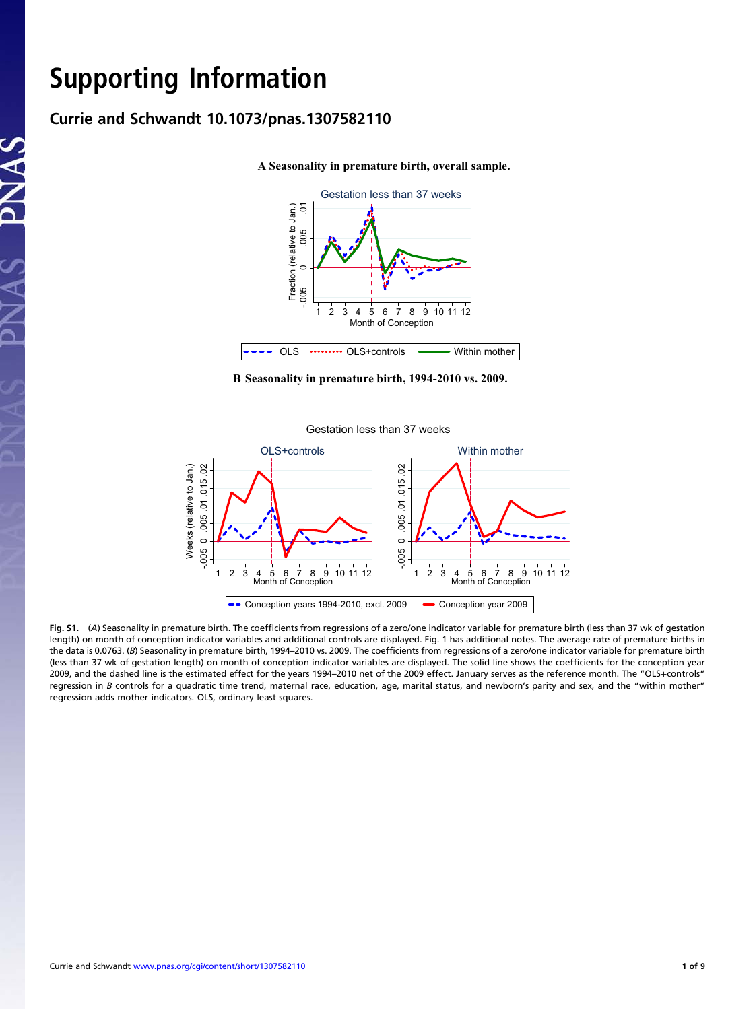JAS

## Supporting Information Currie and Schwandt 10.1073/pnas.1307582110



**A Seasonality in premature birth, overall sample.** 





Fig. S1. (A) Seasonality in premature birth. The coefficients from regressions of a zero/one indicator variable for premature birth (less than 37 wk of gestation length) on month of conception indicator variables and additional controls are displayed. Fig. 1 has additional notes. The average rate of premature births in the data is 0.0763. (B) Seasonality in premature birth, 1994–2010 vs. 2009. The coefficients from regressions of a zero/one indicator variable for premature birth (less than 37 wk of gestation length) on month of conception indicator variables are displayed. The solid line shows the coefficients for the conception year 2009, and the dashed line is the estimated effect for the years 1994–2010 net of the 2009 effect. January serves as the reference month. The "OLS+controls" regression in B controls for a quadratic time trend, maternal race, education, age, marital status, and newborn's parity and sex, and the "within mother" regression adds mother indicators. OLS, ordinary least squares.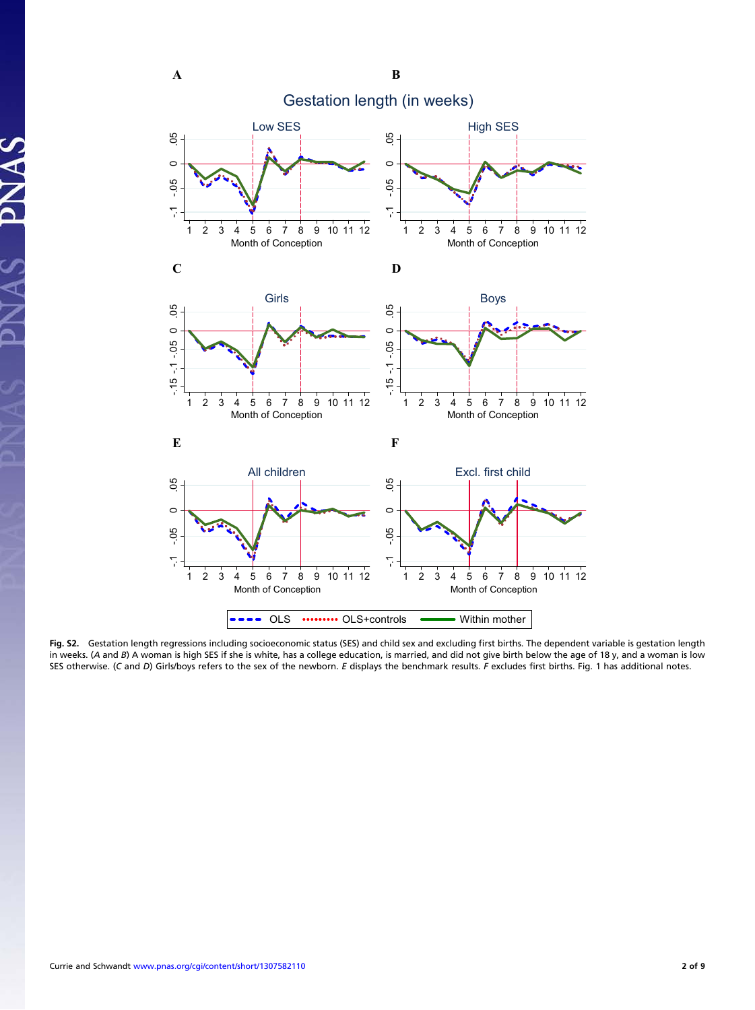DN AC





Fig. S2. Gestation length regressions including socioeconomic status (SES) and child sex and excluding first births. The dependent variable is gestation length in weeks. (A and B) A woman is high SES if she is white, has a college education, is married, and did not give birth below the age of 18 y, and a woman is low SES otherwise. (C and D) Girls/boys refers to the sex of the newborn. E displays the benchmark results. F excludes first births. Fig. 1 has additional notes.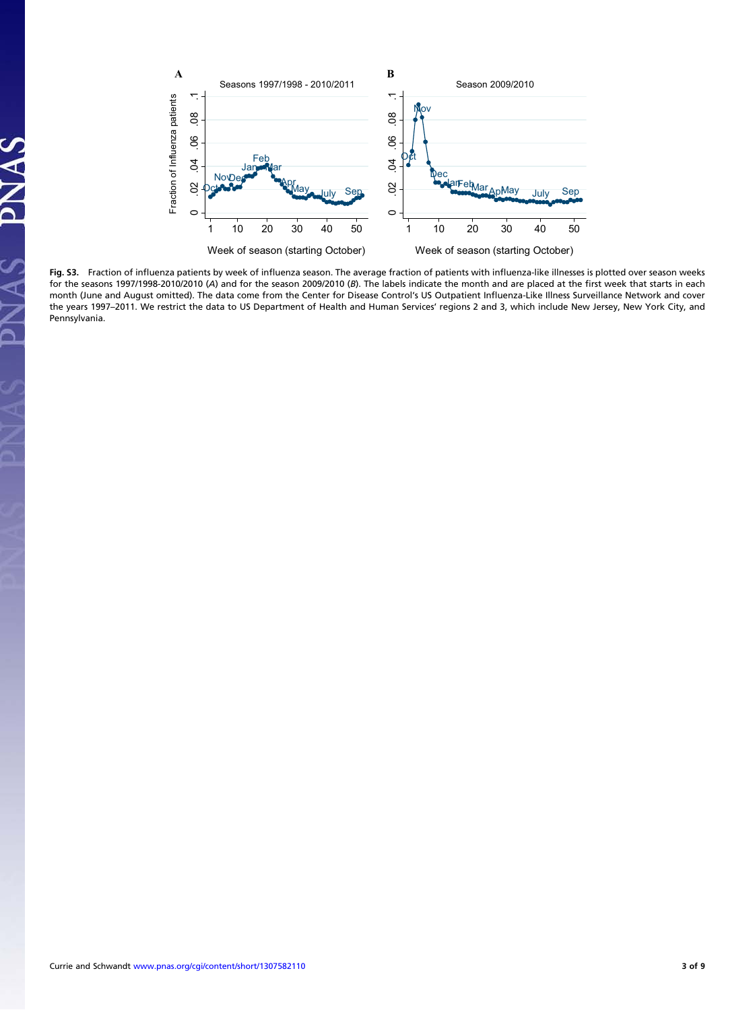

Fig. S3. Fraction of influenza patients by week of influenza season. The average fraction of patients with influenza-like illnesses is plotted over season weeks for the seasons 1997/1998-2010/2010 (A) and for the season 2009/2010 (B). The labels indicate the month and are placed at the first week that starts in each month (June and August omitted). The data come from the Center for Disease Control's US Outpatient Influenza-Like Illness Surveillance Network and cover the years 1997–2011. We restrict the data to US Department of Health and Human Services' regions 2 and 3, which include New Jersey, New York City, and Pennsylvania.

AS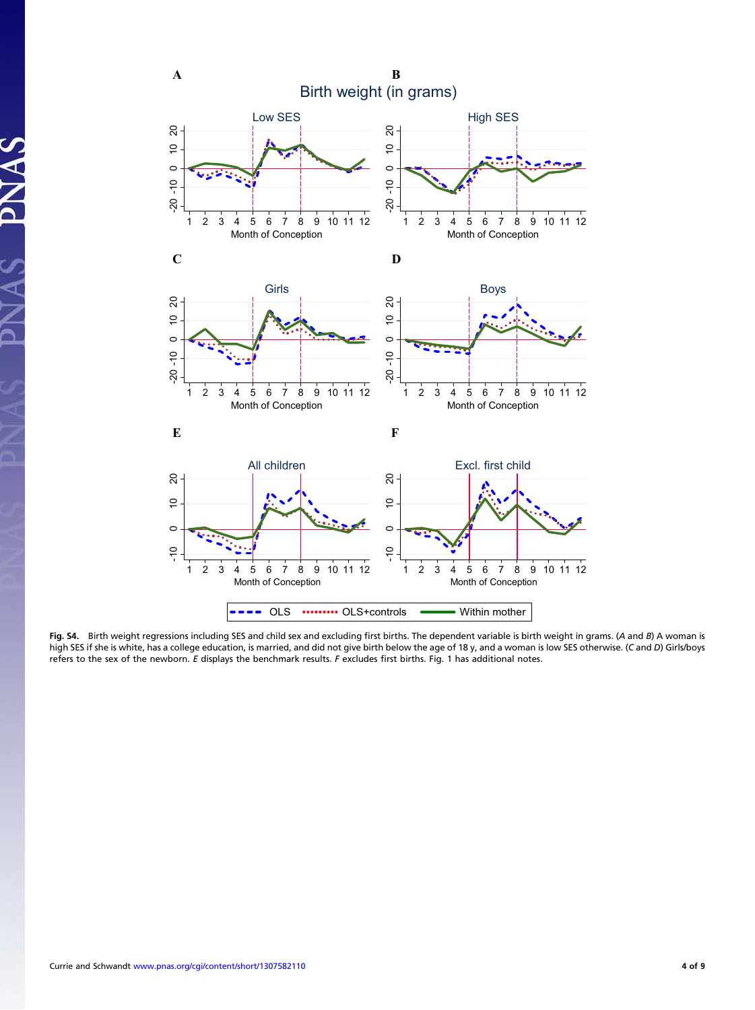

Fig. S4. Birth weight regressions including SES and child sex and excluding first births. The dependent variable is birth weight in grams. (A and B) A woman is high SES if she is white, has a college education, is married, and did not give birth below the age of 18 y, and a woman is low SES otherwise. (C and D) Girls/boys refers to the sex of the newborn. E displays the benchmark results. F excludes first births. Fig. 1 has additional notes.

DNAC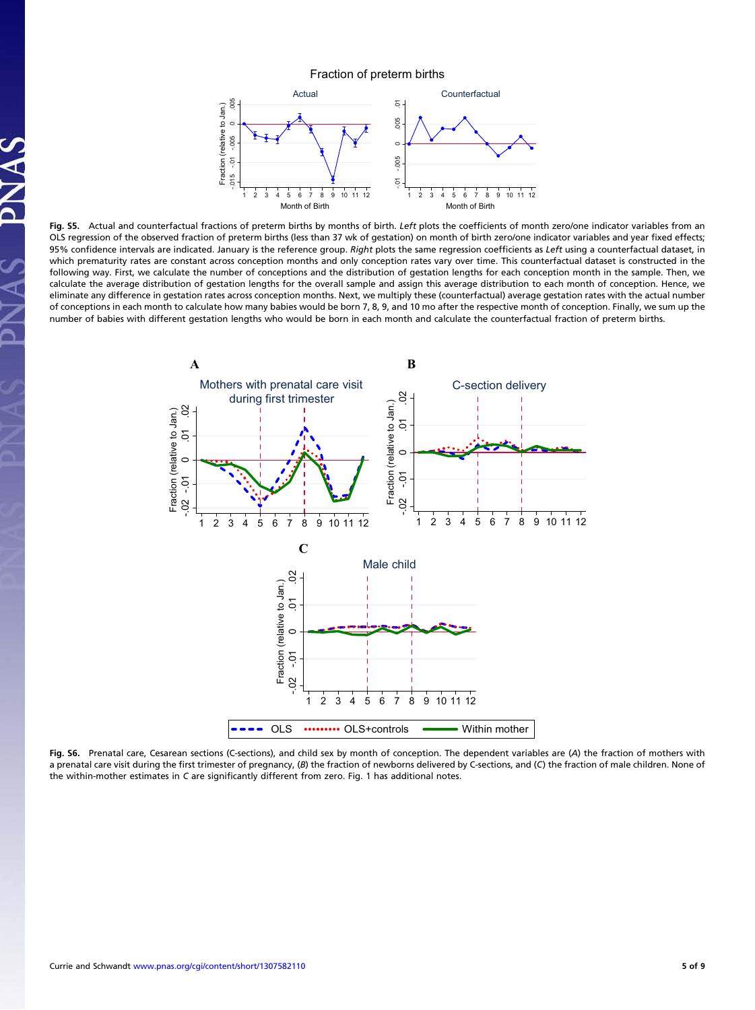### Fraction of preterm births



Fig. S5. Actual and counterfactual fractions of preterm births by months of birth. Left plots the coefficients of month zero/one indicator variables from an OLS regression of the observed fraction of preterm births (less than 37 wk of gestation) on month of birth zero/one indicator variables and year fixed effects; 95% confidence intervals are indicated. January is the reference group. Right plots the same regression coefficients as Left using a counterfactual dataset, in which prematurity rates are constant across conception months and only conception rates vary over time. This counterfactual dataset is constructed in the following way. First, we calculate the number of conceptions and the distribution of gestation lengths for each conception month in the sample. Then, we calculate the average distribution of gestation lengths for the overall sample and assign this average distribution to each month of conception. Hence, we eliminate any difference in gestation rates across conception months. Next, we multiply these (counterfactual) average gestation rates with the actual number of conceptions in each month to calculate how many babies would be born 7, 8, 9, and 10 mo after the respective month of conception. Finally, we sum up the number of babies with different gestation lengths who would be born in each month and calculate the counterfactual fraction of preterm births.



Fig. S6. Prenatal care, Cesarean sections (C-sections), and child sex by month of conception. The dependent variables are (A) the fraction of mothers with a prenatal care visit during the first trimester of pregnancy, (B) the fraction of newborns delivered by C-sections, and (C) the fraction of male children. None of the within-mother estimates in C are significantly different from zero. Fig. 1 has additional notes.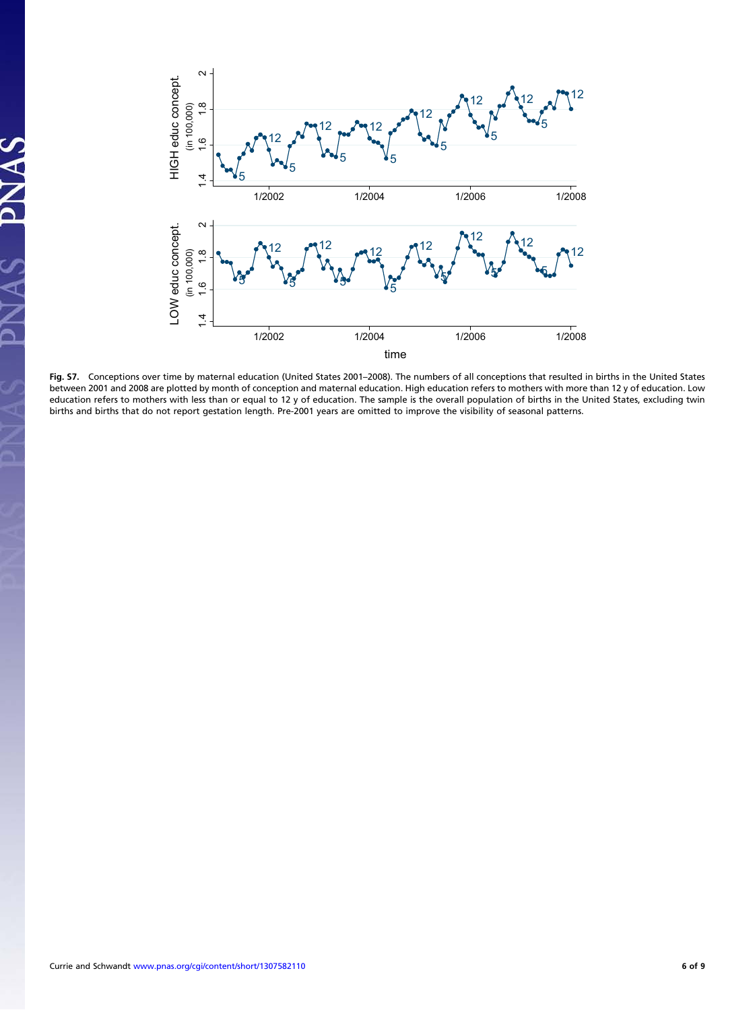

Fig. S7. Conceptions over time by maternal education (United States 2001–2008). The numbers of all conceptions that resulted in births in the United States between 2001 and 2008 are plotted by month of conception and maternal education. High education refers to mothers with more than 12 y of education. Low education refers to mothers with less than or equal to 12 y of education. The sample is the overall population of births in the United States, excluding twin births and births that do not report gestation length. Pre-2001 years are omitted to improve the visibility of seasonal patterns.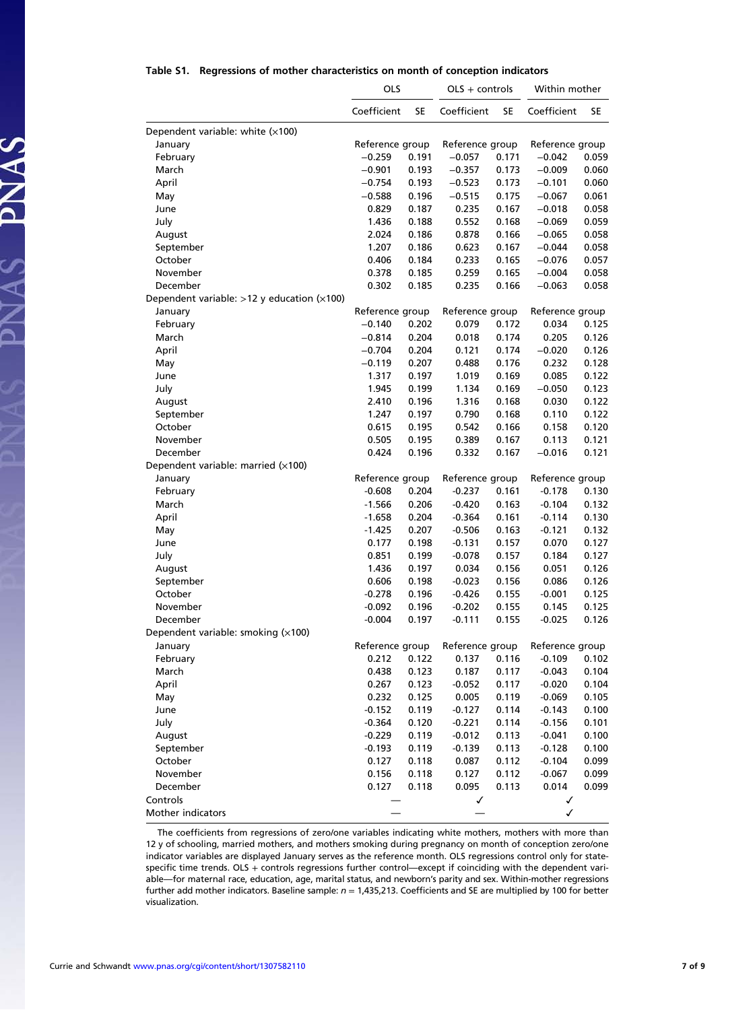|                                                       | <b>OLS</b>      |       | $OLS + controls$ |       | Within mother   |                |
|-------------------------------------------------------|-----------------|-------|------------------|-------|-----------------|----------------|
|                                                       | Coefficient     | SE    | Coefficient      | SE    | Coefficient     | SE             |
| Dependent variable: white $(x100)$                    |                 |       |                  |       |                 |                |
| January                                               | Reference group |       | Reference group  |       | Reference group |                |
| February                                              | $-0.259$        | 0.191 | $-0.057$         | 0.171 | $-0.042$        | 0.059          |
| March                                                 | $-0.901$        | 0.193 | $-0.357$         | 0.173 | $-0.009$        | 0.060          |
| April                                                 | $-0.754$        | 0.193 | $-0.523$         | 0.173 | $-0.101$        | 0.060          |
| May                                                   | $-0.588$        | 0.196 | $-0.515$         | 0.175 | $-0.067$        | 0.061          |
| June                                                  | 0.829           | 0.187 | 0.235            | 0.167 | $-0.018$        | 0.058          |
| July                                                  | 1.436           | 0.188 | 0.552            | 0.168 | $-0.069$        | 0.059          |
| August                                                | 2.024           | 0.186 | 0.878            | 0.166 | $-0.065$        | 0.058          |
| September                                             | 1.207           | 0.186 | 0.623            | 0.167 | $-0.044$        | 0.058          |
| October                                               | 0.406           | 0.184 | 0.233            | 0.165 | $-0.076$        | 0.057          |
| November                                              | 0.378           | 0.185 | 0.259            | 0.165 | $-0.004$        | 0.058          |
| December                                              | 0.302           | 0.185 | 0.235            | 0.166 | $-0.063$        | 0.058          |
| Dependent variable: $>12$ y education ( $\times$ 100) |                 |       |                  |       |                 |                |
| January                                               | Reference group |       | Reference group  |       | Reference group |                |
| February                                              | $-0.140$        | 0.202 | 0.079            | 0.172 | 0.034           | 0.125          |
| March                                                 | $-0.814$        | 0.204 | 0.018            | 0.174 | 0.205           | 0.126          |
| April                                                 | $-0.704$        | 0.204 | 0.121            | 0.174 | $-0.020$        | 0.126          |
| May                                                   | $-0.119$        | 0.207 | 0.488            | 0.176 | 0.232           | 0.128          |
| June                                                  | 1.317           | 0.197 | 1.019            | 0.169 | 0.085           | 0.122          |
| July                                                  | 1.945           | 0.199 | 1.134            | 0.169 | $-0.050$        | 0.123          |
| August                                                | 2.410           | 0.196 | 1.316            | 0.168 | 0.030           | 0.122          |
| September                                             | 1.247           | 0.197 | 0.790            | 0.168 | 0.110           | 0.122          |
| October                                               | 0.615           | 0.195 | 0.542            | 0.166 | 0.158           | 0.120          |
| November                                              | 0.505           | 0.195 | 0.389            | 0.167 | 0.113           | 0.121          |
| December                                              | 0.424           | 0.196 | 0.332            | 0.167 | $-0.016$        | 0.121          |
| Dependent variable: married $(x100)$                  |                 |       |                  |       |                 |                |
|                                                       | Reference group |       | Reference group  |       | Reference group |                |
| January                                               | $-0.608$        | 0.204 | $-0.237$         | 0.161 | $-0.178$        | 0.130          |
| February                                              |                 |       | $-0.420$         |       |                 | 0.132          |
| March                                                 | $-1.566$        | 0.206 |                  | 0.163 | $-0.104$        | 0.130          |
| April                                                 | $-1.658$        | 0.204 | $-0.364$         | 0.161 | $-0.114$        |                |
| May                                                   | $-1.425$        | 0.207 | $-0.506$         | 0.163 | $-0.121$        | 0.132<br>0.127 |
| June                                                  | 0.177           | 0.198 | $-0.131$         | 0.157 | 0.070           |                |
| July                                                  | 0.851           | 0.199 | $-0.078$         | 0.157 | 0.184           | 0.127          |
| August                                                | 1.436           | 0.197 | 0.034            | 0.156 | 0.051           | 0.126          |
| September                                             | 0.606           | 0.198 | $-0.023$         | 0.156 | 0.086           | 0.126          |
| October                                               | $-0.278$        | 0.196 | $-0.426$         | 0.155 | $-0.001$        | 0.125          |
| November                                              | $-0.092$        | 0.196 | $-0.202$         | 0.155 | 0.145           | 0.125          |
| December                                              | $-0.004$        | 0.197 | $-0.111$         | 0.155 | $-0.025$        | 0.126          |
| Dependent variable: smoking $(x100)$                  |                 |       |                  |       |                 |                |
| January                                               | Reference group |       | Reference group  |       | Reference group |                |
| February                                              | 0.212           | 0.122 | 0.137            | 0.116 | -0.109          | 0.102          |
| March                                                 | 0.438           | 0.123 | 0.187            | 0.117 | $-0.043$        | 0.104          |
| April                                                 | 0.267           | 0.123 | $-0.052$         | 0.117 | $-0.020$        | 0.104          |
| May                                                   | 0.232           | 0.125 | 0.005            | 0.119 | $-0.069$        | 0.105          |
| June                                                  | $-0.152$        | 0.119 | $-0.127$         | 0.114 | $-0.143$        | 0.100          |
| July                                                  | $-0.364$        | 0.120 | $-0.221$         | 0.114 | $-0.156$        | 0.101          |
| August                                                | $-0.229$        | 0.119 | $-0.012$         | 0.113 | $-0.041$        | 0.100          |
| September                                             | $-0.193$        | 0.119 | $-0.139$         | 0.113 | $-0.128$        | 0.100          |
| October                                               | 0.127           | 0.118 | 0.087            | 0.112 | $-0.104$        | 0.099          |
| November                                              | 0.156           | 0.118 | 0.127            | 0.112 | $-0.067$        | 0.099          |
| December                                              | 0.127           | 0.118 | 0.095            | 0.113 | 0.014           | 0.099          |
| Controls                                              |                 |       | ✓                |       | ✓               |                |
| Mother indicators                                     |                 |       |                  |       | ✓               |                |

### Table S1. Regressions of mother characteristics on month of conception indicators

The coefficients from regressions of zero/one variables indicating white mothers, mothers with more than 12 y of schooling, married mothers, and mothers smoking during pregnancy on month of conception zero/one indicator variables are displayed January serves as the reference month. OLS regressions control only for statespecific time trends. OLS + controls regressions further control—except if coinciding with the dependent variable—for maternal race, education, age, marital status, and newborn's parity and sex. Within-mother regressions further add mother indicators. Baseline sample:  $n = 1,435,213$ . Coefficients and SE are multiplied by 100 for better visualization.

PNAS PNAS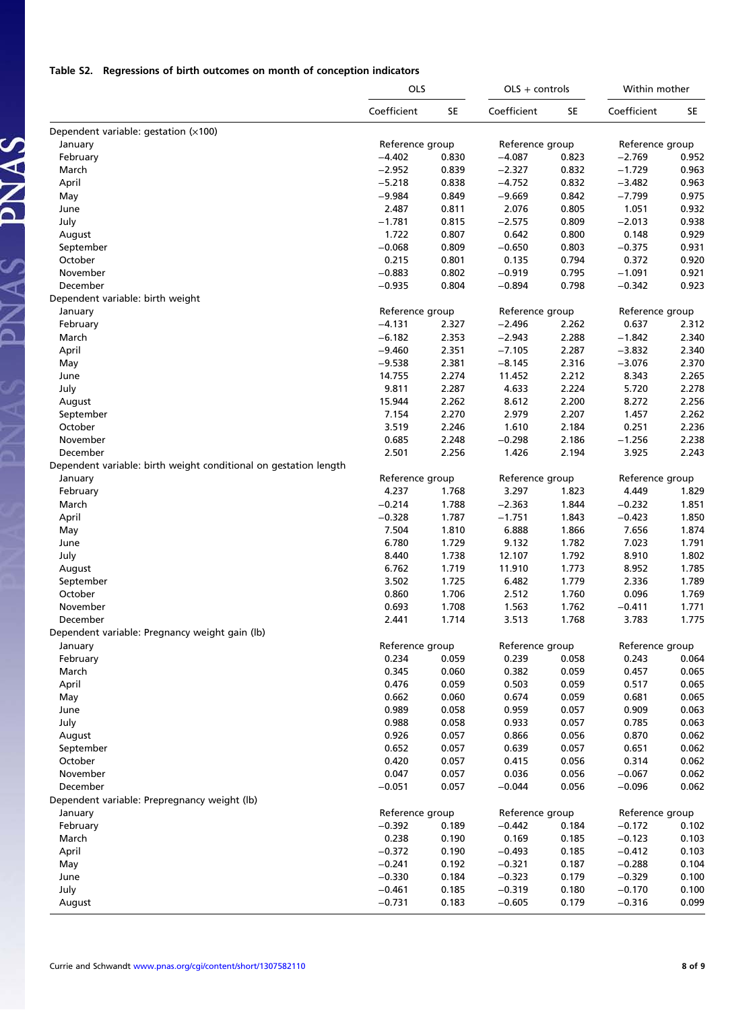### Table S2. Regressions of birth outcomes on month of conception indicators

PNAS PNAS

|                                                                  |                 | <b>OLS</b> |                 | $OLS + controls$ |                 | Within mother |  |
|------------------------------------------------------------------|-----------------|------------|-----------------|------------------|-----------------|---------------|--|
|                                                                  | Coefficient     | <b>SE</b>  | Coefficient     | <b>SE</b>        | Coefficient     | SE            |  |
| Dependent variable: gestation $(x100)$                           |                 |            |                 |                  |                 |               |  |
| January                                                          | Reference group |            | Reference group |                  | Reference group |               |  |
| February                                                         | $-4.402$        | 0.830      | $-4.087$        | 0.823            | $-2.769$        | 0.952         |  |
| March                                                            | $-2.952$        | 0.839      | $-2.327$        | 0.832            | $-1.729$        | 0.963         |  |
| April                                                            | $-5.218$        | 0.838      | $-4.752$        | 0.832            | $-3.482$        | 0.963         |  |
| May                                                              | $-9.984$        | 0.849      | $-9.669$        | 0.842            | $-7.799$        | 0.975         |  |
| June                                                             | 2.487           | 0.811      | 2.076           | 0.805            | 1.051           | 0.932         |  |
| July                                                             | $-1.781$        | 0.815      | $-2.575$        | 0.809            | $-2.013$        | 0.938         |  |
| August                                                           | 1.722           | 0.807      | 0.642           | 0.800            | 0.148           | 0.929         |  |
| September                                                        | $-0.068$        | 0.809      | $-0.650$        | 0.803            | $-0.375$        | 0.931         |  |
| October                                                          | 0.215           | 0.801      | 0.135           | 0.794            | 0.372           | 0.920         |  |
| November                                                         | $-0.883$        | 0.802      | $-0.919$        | 0.795            | $-1.091$        | 0.921         |  |
| December                                                         | $-0.935$        | 0.804      | $-0.894$        | 0.798            | $-0.342$        | 0.923         |  |
| Dependent variable: birth weight                                 |                 |            |                 |                  |                 |               |  |
| January                                                          | Reference group |            | Reference group |                  | Reference group |               |  |
| February                                                         | $-4.131$        | 2.327      | $-2.496$        | 2.262            | 0.637           | 2.312         |  |
| March                                                            | $-6.182$        | 2.353      | $-2.943$        | 2.288            | $-1.842$        | 2.340         |  |
| April                                                            | $-9.460$        | 2.351      | $-7.105$        | 2.287            | $-3.832$        | 2.340         |  |
| May                                                              | $-9.538$        | 2.381      | $-8.145$        | 2.316            | $-3.076$        | 2.370         |  |
| June                                                             | 14.755          | 2.274      | 11.452          | 2.212            | 8.343           | 2.265         |  |
| July                                                             | 9.811           | 2.287      | 4.633           | 2.224            | 5.720           | 2.278         |  |
| August                                                           | 15.944          | 2.262      | 8.612           | 2.200            | 8.272           | 2.256         |  |
| September                                                        | 7.154           | 2.270      | 2.979           | 2.207            | 1.457           | 2.262         |  |
| October                                                          | 3.519           | 2.246      | 1.610           | 2.184            | 0.251           | 2.236         |  |
| November                                                         | 0.685           | 2.248      | $-0.298$        | 2.186            | $-1.256$        | 2.238         |  |
| December                                                         | 2.501           | 2.256      | 1.426           | 2.194            | 3.925           | 2.243         |  |
| Dependent variable: birth weight conditional on gestation length |                 |            |                 |                  |                 |               |  |
| January                                                          | Reference group |            | Reference group |                  | Reference group |               |  |
| February                                                         | 4.237           | 1.768      | 3.297           | 1.823            | 4.449           | 1.829         |  |
| March                                                            | $-0.214$        | 1.788      | $-2.363$        | 1.844            | $-0.232$        | 1.851         |  |
| April                                                            | $-0.328$        | 1.787      | $-1.751$        | 1.843            | $-0.423$        | 1.850         |  |
| May                                                              | 7.504           | 1.810      | 6.888           | 1.866            | 7.656           | 1.874         |  |
| June                                                             | 6.780           | 1.729      | 9.132           | 1.782            | 7.023           | 1.791         |  |
| July                                                             | 8.440           | 1.738      | 12.107          | 1.792            | 8.910           | 1.802         |  |
| August                                                           | 6.762           | 1.719      | 11.910          | 1.773            | 8.952           | 1.785         |  |
| September                                                        | 3.502           | 1.725      | 6.482           | 1.779            | 2.336           | 1.789         |  |
| October                                                          | 0.860           | 1.706      | 2.512           | 1.760            | 0.096           | 1.769         |  |
| November                                                         | 0.693           | 1.708      | 1.563           | 1.762            | $-0.411$        | 1.771         |  |
| December                                                         | 2.441           | 1.714      | 3.513           | 1.768            | 3.783           | 1.775         |  |
| Dependent variable: Pregnancy weight gain (lb)                   |                 |            |                 |                  |                 |               |  |
|                                                                  | Reference group |            | Reference group |                  | Reference group |               |  |
| January<br>February                                              | 0.234 0.059     |            | 0.239           | 0.058            | 0.243           | 0.064         |  |
|                                                                  | 0.345           | 0.060      | 0.382           | 0.059            |                 | 0.065         |  |
| March<br>April                                                   | 0.476           | 0.059      | 0.503           | 0.059            | 0.457<br>0.517  | 0.065         |  |
|                                                                  | 0.662           |            | 0.674           |                  |                 |               |  |
| May                                                              |                 | 0.060      |                 | 0.059            | 0.681           | 0.065         |  |
| June                                                             | 0.989           | 0.058      | 0.959           | 0.057            | 0.909           | 0.063         |  |
| July                                                             | 0.988           | 0.058      | 0.933           | 0.057            | 0.785           | 0.063         |  |
| August                                                           | 0.926           | 0.057      | 0.866           | 0.056            | 0.870           | 0.062         |  |
| September                                                        | 0.652           | 0.057      | 0.639           | 0.057            | 0.651           | 0.062         |  |
| October                                                          | 0.420           | 0.057      | 0.415           | 0.056            | 0.314           | 0.062         |  |
| November                                                         | 0.047           | 0.057      | 0.036           | 0.056            | $-0.067$        | 0.062         |  |
| December                                                         | $-0.051$        | 0.057      | $-0.044$        | 0.056            | $-0.096$        | 0.062         |  |
| Dependent variable: Prepregnancy weight (lb)                     |                 |            |                 |                  |                 |               |  |
| January                                                          | Reference group |            | Reference group |                  | Reference group |               |  |
| February                                                         | $-0.392$        | 0.189      | $-0.442$        | 0.184            | $-0.172$        | 0.102         |  |
| March                                                            | 0.238           | 0.190      | 0.169           | 0.185            | $-0.123$        | 0.103         |  |
| April                                                            | $-0.372$        | 0.190      | $-0.493$        | 0.185            | $-0.412$        | 0.103         |  |
| May                                                              | $-0.241$        | 0.192      | $-0.321$        | 0.187            | $-0.288$        | 0.104         |  |
| June                                                             | $-0.330$        | 0.184      | $-0.323$        | 0.179            | $-0.329$        | 0.100         |  |
| July                                                             | $-0.461$        | 0.185      | $-0.319$        | 0.180            | $-0.170$        | 0.100         |  |
| August                                                           | $-0.731$        | 0.183      | $-0.605$        | 0.179            | $-0.316$        | 0.099         |  |